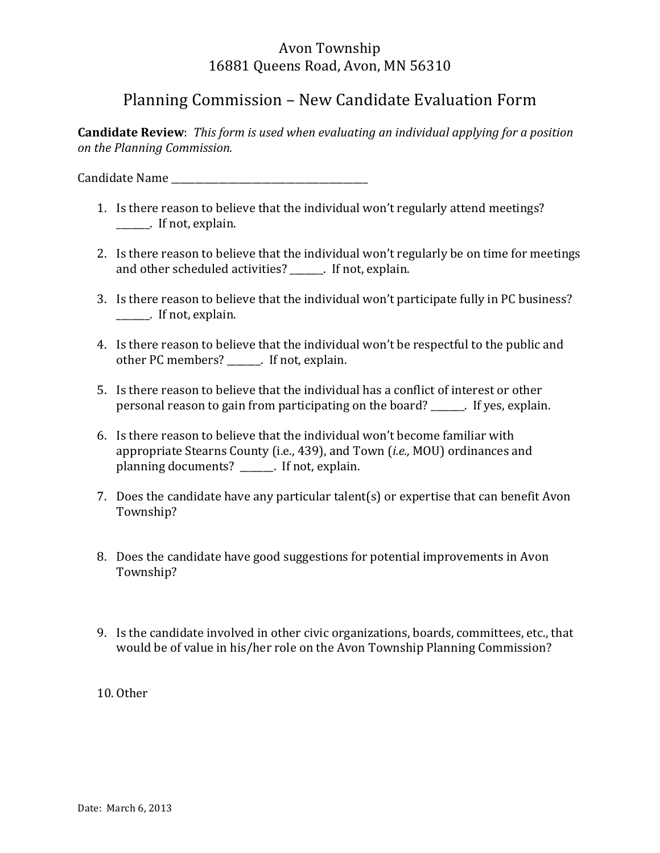## Avon Township 16881 Queens Road, Avon, MN 56310

## Planning Commission – New Candidate Evaluation Form

**Candidate Review**: *This form is used when evaluating an individual applying for a position on%the%Planning%Commission.%%%%*

Candidate%Name%\_\_\_\_\_\_\_\_\_\_\_\_\_\_\_\_\_\_\_\_\_\_\_\_\_\_\_\_\_\_\_\_\_\_\_\_\_\_\_\_\_%%%%%

- 1. Is there reason to believe that the individual won't regularly attend meetings?  $\blacksquare$  If not, explain.
- 2. Is there reason to believe that the individual won't regularly be on time for meetings and other scheduled activities? The same of the scheduled activities?
- 3. Is there reason to believe that the individual won't participate fully in PC business? **\_\_\_\_\_\_\_**. If not, explain.
- 4. Is there reason to believe that the individual won't be respectful to the public and other PC members? \_\_\_\_\_\_. If not, explain.
- 5. Is there reason to believe that the individual has a conflict of interest or other personal reason to gain from participating on the board? The Supersonal reason to gain from participating on the board?
- 6. Is there reason to believe that the individual won't become familiar with appropriate Stearns County (i.e., 439), and Town (*i.e.*, MOU) ordinances and planning documents?  $\frac{1}{\sqrt{1-\frac{1}{n}}}$  If not, explain.
- 7. Does the candidate have any particular talent(s) or expertise that can benefit Avon Township?
- 8. Does the candidate have good suggestions for potential improvements in Avon Township?
- 9. Is the candidate involved in other civic organizations, boards, committees, etc., that would be of value in his/her role on the Avon Township Planning Commission?
- 10. Other